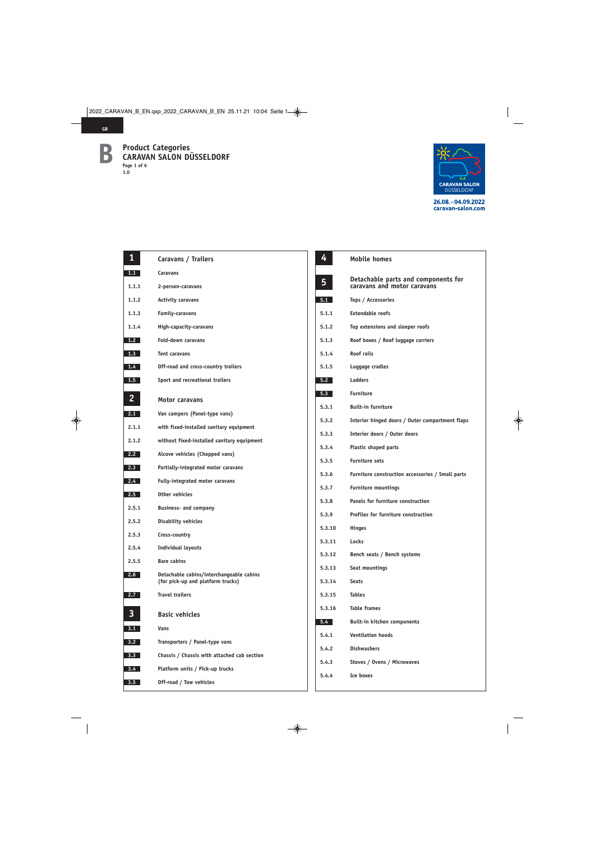

| $\mathbf{1}$     | Caravans / Trailers                                                           |  |
|------------------|-------------------------------------------------------------------------------|--|
| 1.1              | <b>Caravans</b>                                                               |  |
| 1.1.1            | 2-person-caravans                                                             |  |
| 1.1.2            | <b>Activity caravans</b>                                                      |  |
| 1.1.3            | <b>Family-caravans</b>                                                        |  |
| 1.1.4            | High-capacity-caravans                                                        |  |
| 1.2              | Fold-down caravans                                                            |  |
| 1.3              | Tent caravans                                                                 |  |
| 1.4              | Off-road and cross-country trailers                                           |  |
| 1.5              | Sport and recreational trailers                                               |  |
| $\overline{2}$   | <b>Motor caravans</b>                                                         |  |
| 2.1              | Van campers (Panel-type vans)                                                 |  |
| 2.1.1            | with fixed-installed sanitary equipment                                       |  |
| 2.1.2            | without fixed-installed sanitary equipment                                    |  |
| 2.2              | Alcove vehicles (Chopped vans)                                                |  |
| 2.3              | Partially-integrated motor caravans                                           |  |
| 2.4              | Fully-integrated motor caravans                                               |  |
| 2.5              | Other vehicles                                                                |  |
| 2.5.1            | <b>Business- and company</b>                                                  |  |
| 2.5.2            | <b>Disability vehicles</b>                                                    |  |
| 2.5.3            | Cross-country                                                                 |  |
| 2.5.4            | <b>Individual layouts</b>                                                     |  |
| 2.5.5            | <b>Bare cabins</b>                                                            |  |
| 2.6              | Detachable cabins/interchangeable cabins<br>(for pick-up and platform trucks) |  |
| 2.7              | <b>Travel trailers</b>                                                        |  |
| 3                | <b>Basic vehicles</b>                                                         |  |
| 3.1              | <b>Vans</b>                                                                   |  |
| 3.2              | Transporters / Panel-type vans                                                |  |
| 3.3 <sub>2</sub> | Chassis / Chassis with attached cab section                                   |  |
| $3.4 -$          | Platform units / Pick-up trucks                                               |  |
| $3.5^{\circ}$    | Off-road / Tow vehicles                                                       |  |
|                  |                                                                               |  |

| 4      | <b>Mobile homes</b>                                                |
|--------|--------------------------------------------------------------------|
| 5      | Detachable parts and components for<br>caravans and motor caravans |
| 5.1    | Tops / Accessories                                                 |
| 5.1.1  | <b>Extendable roofs</b>                                            |
| 5.1.2  | Top extensions and sleeper roofs                                   |
| 5.1.3  | Roof boxes / Roof luggage carriers                                 |
| 5.1.4  | Roof rails                                                         |
| 5.1.5  | Luggage cradles                                                    |
| 5.2    | <b>Ladders</b>                                                     |
| 5.3    | <b>Furniture</b>                                                   |
| 5.3.1  | <b>Built-in furniture</b>                                          |
| 5.3.2  | Interior hinged doors / Outer compartment flaps                    |
| 5.3.3  | Interior doors / Outer doors                                       |
| 5.3.4  | <b>Plastic shaped parts</b>                                        |
| 5.3.5  | <b>Furniture sets</b>                                              |
| 5.3.6  | Furniture construction accessories / Small parts                   |
| 5.3.7  | <b>Furniture mountings</b>                                         |
| 5.3.8  | Panels for furniture construction                                  |
| 5.3.9  | Profiles for furniture construction                                |
| 5.3.10 | <b>Hinges</b>                                                      |
| 5.3.11 | Locks                                                              |
| 5.3.12 | Bench seats / Bench systems                                        |
| 5.3.13 | Seat mountings                                                     |
| 5.3.14 | <b>Seats</b>                                                       |
| 5.3.15 | <b>Tables</b>                                                      |
|        | 5.3.16 Table frames                                                |
|        | 5.4 Built-in kitchen components                                    |
|        | 5.4.1 Ventilation hoods                                            |
| 5.4.2  | <b>Dishwashers</b>                                                 |
| 5.4.3  | Stoves / Ovens / Microwaves                                        |
| 5.4.4  | Ice boxes                                                          |
|        |                                                                    |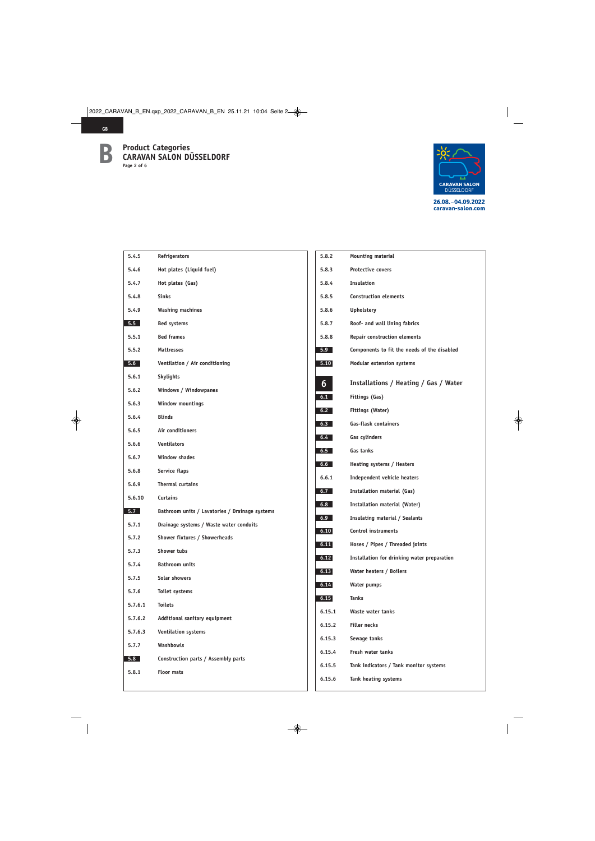

| 5.4.5   | Refrigerators                                  |
|---------|------------------------------------------------|
| 5.4.6   | Hot plates (Liquid fuel)                       |
| 5.4.7   | Hot plates (Gas)                               |
| 5.4.8   | <b>Sinks</b>                                   |
| 5.4.9   | <b>Washing machines</b>                        |
| 5.5     | <b>Bed systems</b>                             |
| 5.5.1   | <b>Bed frames</b>                              |
| 5.5.2   | <b>Mattresses</b>                              |
| 5.6     | Ventilation / Air conditioning                 |
| 5.6.1   | <b>Skylights</b>                               |
| 5.6.2   | Windows / Windowpanes                          |
| 5.6.3   | Window mountings                               |
| 5.6.4   | <b>Blinds</b>                                  |
| 5.6.5   | Air conditioners                               |
| 5.6.6   | <b>Ventilators</b>                             |
| 5.6.7   | <b>Window shades</b>                           |
| 5.6.8   | Service flaps                                  |
| 5.6.9   | <b>Thermal curtains</b>                        |
| 5.6.10  | <b>Curtains</b>                                |
| 5.7     | Bathroom units / Lavatories / Drainage systems |
| 5.7.1   | Drainage systems / Waste water conduits        |
| 5.7.2   | Shower fixtures / Showerheads                  |
| 5.7.3   | <b>Shower tubs</b>                             |
| 5.7.4   | <b>Bathroom units</b>                          |
| 5.7.5   | Solar showers                                  |
| 5.7.6   | Toilet systems                                 |
| 5.7.6.1 | <b>Toilets</b>                                 |
| 5.7.6.2 | Additional sanitary equipment                  |
| 5.7.6.3 | Ventilation systems                            |
| 5.7.7   | Washbowls                                      |
| 5.8     | Construction parts / Assembly parts            |
| 5.8.1   | <b>Floor mats</b>                              |
|         |                                                |

| 5.8.2  | Mounting material                           |
|--------|---------------------------------------------|
| 5.8.3  | <b>Protective covers</b>                    |
| 5.8.4  | <b>Insulation</b>                           |
| 5.8.5  | <b>Construction elements</b>                |
| 5.8.6  | <b>Upholstery</b>                           |
| 5.8.7  | Roof- and wall lining fabrics               |
| 5.8.8  | Repair construction elements                |
| 5.9    | Components to fit the needs of the disabled |
| 5.10   | Modular extension systems                   |
| 6      | Installations / Heating / Gas / Water       |
| 6.1    | Fittings (Gas)                              |
| 6.2    | Fittings (Water)                            |
| 6.3    | <b>Gas-flask containers</b>                 |
| 6.4    | Gas cylinders                               |
| 6.5    | Gas tanks                                   |
| 6.6    | Heating systems / Heaters                   |
| 6.6.1  | <b>Independent vehicle heaters</b>          |
| 6.7    | <b>Installation material (Gas)</b>          |
| 6.8    | Installation material (Water)               |
| 6.9    | Insulating material / Sealants              |
| 6.10   | <b>Control instruments</b>                  |
| 6.11   | Hoses / Pipes / Threaded joints             |
| 6.12   | Installation for drinking water preparation |
| 6.13   | Water heaters / Boilers                     |
| 6.14   | Water pumps                                 |
| 6.15   | <b>Tanks</b>                                |
| 6.15.1 | Waste water tanks                           |
| 6.15.2 | <b>Filler necks</b>                         |
| 6.15.3 | Sewage tanks                                |
| 6.15.4 | Fresh water tanks                           |
| 6.15.5 | Tank indicators / Tank monitor systems      |
| 6.15.6 | Tank heating systems                        |
|        |                                             |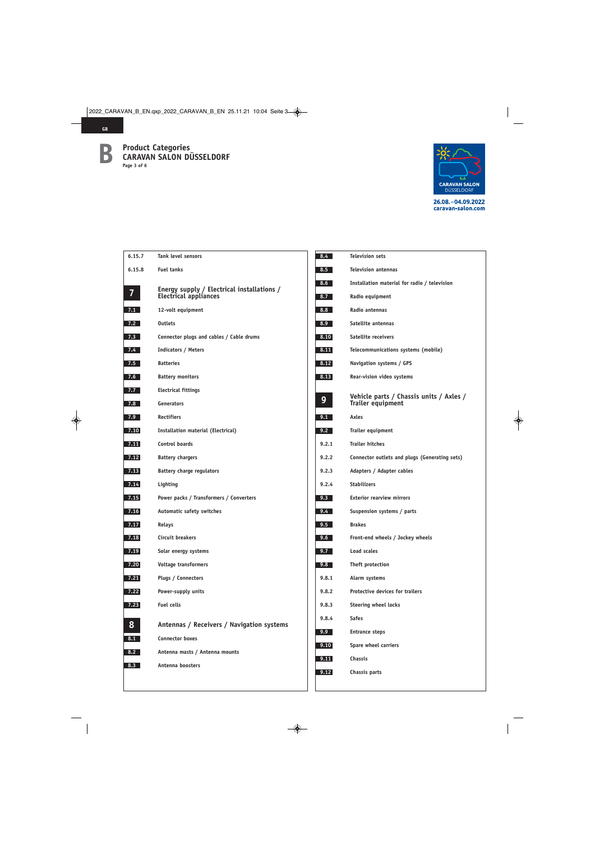

| 6.15.7         | <b>Tank level sensors</b>                                           | 8.4          |
|----------------|---------------------------------------------------------------------|--------------|
| 6.15.8         | <b>Fuel tanks</b>                                                   | 8.5          |
| $\overline{7}$ | Energy supply / Electrical installations /<br>Electrical appliances | 8.6<br>8.7   |
| 7.1            | 12-volt equipment                                                   | 8.8          |
| 7.2            | <b>Outlets</b>                                                      | 8.9          |
| 7.3            | Connector plugs and cables / Cable drums                            | 8.10         |
| 7.4            | <b>Indicators / Meters</b>                                          | 8.11         |
| 7.5            | <b>Batteries</b>                                                    | 8.12         |
| 7.6            | <b>Battery monitors</b>                                             | 8.13         |
| 7.7            | <b>Electrical fittings</b>                                          |              |
| 7.8            | Generators                                                          | 9            |
| 7.9            | <b>Rectifiers</b>                                                   | 9.1          |
| 7.10           | Installation material (Electrical)                                  | 9.2          |
| 7.11           | <b>Control boards</b>                                               | 9.2.1        |
| 7.12           | <b>Battery chargers</b>                                             | 9.2.2        |
| 7.13           | <b>Battery charge regulators</b>                                    | 9.2.3        |
| 7.14           | Lighting                                                            | 9.2.4        |
| 7.15           | Power packs / Transformers / Converters                             | 9.3          |
| 7.16           | Automatic safety switches                                           | 9.4          |
| 7.17           | <b>Relays</b>                                                       | 9.5          |
| 7.18           | Circuit breakers                                                    | 9.6          |
| 7.19           | Solar energy systems                                                | 9.7          |
| 7.20           | Voltage transformers                                                | 9.8          |
| 7.21           | Plugs / Connectors                                                  | 9.8.1        |
| 7.22           | Power-supply units                                                  | 9.8.2        |
| 7.23           | <b>Fuel cells</b>                                                   | 9.8.3        |
| 8              | Antennas / Receivers / Navigation systems                           | 9.8.4<br>9.9 |
| 8.1            | <b>Connector boxes</b>                                              | 9.10         |
| 8.2            | Antenna masts / Antenna mounts                                      | 9.11         |
| 8.3            | Antenna boosters                                                    | 9.12         |
|                |                                                                     |              |
|                |                                                                     |              |

| $8.4 -$ | <b>Television sets</b>                                              |
|---------|---------------------------------------------------------------------|
| 8.5     | <b>Television antennas</b>                                          |
| 8.6     | Installation material for radio / television                        |
| 8.7     | Radio equipment                                                     |
| 8.8     | Radio antennas                                                      |
| 8.9     | Satellite antennas                                                  |
| 8.10    | <b>Satellite receivers</b>                                          |
| 8.11    | Telecommunications systems (mobile)                                 |
| 8.12    | Navigation systems / GPS                                            |
| 8.13    | Rear-vision video systems                                           |
| 9       | Vehicle parts / Chassis units / Axles /<br><b>Trailer equipment</b> |
| 9.1     | Axles                                                               |
| 9.2     | <b>Trailer equipment</b>                                            |
| 9.2.1   | <b>Trailer hitches</b>                                              |
| 9.2.2   | Connector outlets and plugs (Generating sets)                       |
| 9.2.3   | Adapters / Adapter cables                                           |
| 9.2.4   | <b>Stabilizers</b>                                                  |
| 9.3     | <b>Exterior rearview mirrors</b>                                    |
| 9.4     | Suspension systems / parts                                          |
| $9.5 -$ | <b>Brakes</b>                                                       |
| 9.6     | Front-end wheels / Jockey wheels                                    |
| 9.7     | <b>Load scales</b>                                                  |
| 9.8     | Theft protection                                                    |
| 9.8.1   | Alarm systems                                                       |
| 9.8.2   | <b>Protective devices for trailers</b>                              |
| 9.8.3   | Steering wheel locks                                                |
| 9.8.4   | <b>Safes</b>                                                        |
| 9.9     | <b>Entrance steps</b>                                               |
| 9.10    | Spare wheel carriers                                                |
| 9.11    | <b>Chassis</b>                                                      |
| 9.12    | Chassis parts                                                       |
|         |                                                                     |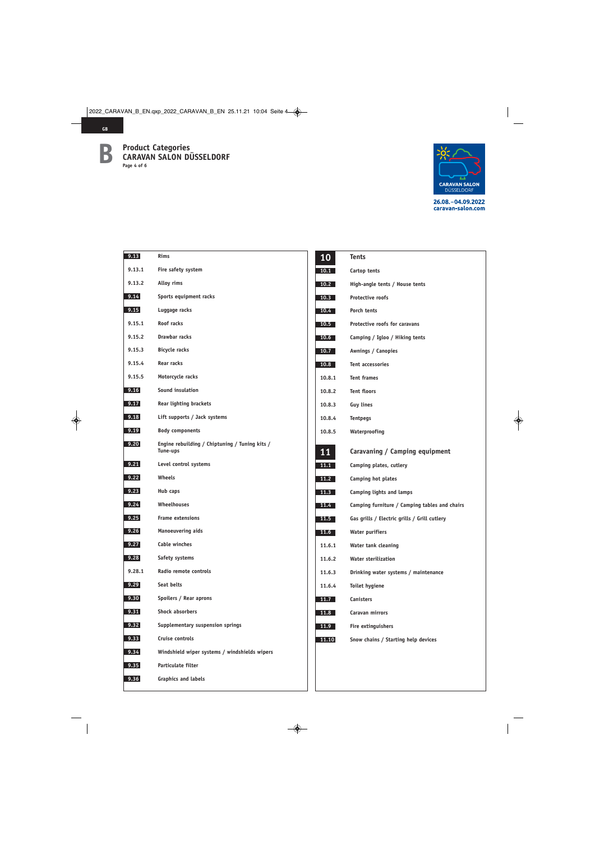

| 9.13   | Rims                                                       | 10        | <b>Tents</b>                                  |
|--------|------------------------------------------------------------|-----------|-----------------------------------------------|
| 9.13.1 | Fire safety system                                         | 10.1      | Cartop tents                                  |
| 9.13.2 | Alloy rims                                                 | 10.2      | High-angle tents / House tents                |
| 9.14   | Sports equipment racks                                     | 10.3      | Protective roofs                              |
| 9.15   | Luggage racks                                              | 10.4      | Porch tents                                   |
| 9.15.1 | Roof racks                                                 | 10.5      | Protective roofs for caravans                 |
| 9.15.2 | Drawbar racks                                              | 10.6      | Camping / Igloo / Hiking tents                |
| 9.15.3 | <b>Bicycle racks</b>                                       | 10.7      | Awnings / Canopies                            |
| 9.15.4 | Rear racks                                                 | 10.8      | Tent accessories                              |
| 9.15.5 | Motorcycle racks                                           | 10.8.1    | <b>Tent frames</b>                            |
| 9.16   | Sound insulation                                           | 10.8.2    | <b>Tent floors</b>                            |
| 9.17   | <b>Rear lighting brackets</b>                              | 10.8.3    | <b>Guy lines</b>                              |
| 9.18   | Lift supports / Jack systems                               | 10.8.4    | <b>Tentpegs</b>                               |
| 9.19   | <b>Body components</b>                                     | 10.8.5    | Waterproofing                                 |
| 9.20   | Engine rebuilding / Chiptuning / Tuning kits /<br>Tune-ups | <b>11</b> | Caravaning / Camping equipment                |
| 9.21   | Level control systems                                      | 11.1      | Camping plates, cutlery                       |
| 9.22   | Wheels                                                     | 11.2      | Camping hot plates                            |
| 9.23   | Hub caps                                                   | 11.3      | Camping lights and lamps                      |
| 9.24   | <b>Wheelhouses</b>                                         | 11.4      | Camping furniture / Camping tables and chairs |
| 9.25   | <b>Frame extensions</b>                                    | 11.5      | Gas grills / Electric grills / Grill cutlery  |
| 9.26   | <b>Manoeuvering aids</b>                                   | 11.6      | <b>Water purifiers</b>                        |
| 9.27   | Cable winches                                              | 11.6.1    | Water tank cleaning                           |
| 9.28   | Safety systems                                             | 11.6.2    | <b>Water sterilization</b>                    |
| 9.28.1 | Radio remote controls                                      | 11.6.3    | Drinking water systems / maintenance          |
| 9.29   | Seat belts                                                 | 11.6.4    | Toilet hygiene                                |
| 9.30   | Spoilers / Rear aprons                                     | 11.7      | Canisters                                     |
| 9.31   | Shock absorbers                                            | 11.8      | Caravan mirrors                               |
| 9.32   | Supplementary suspension springs                           | 11.9      | Fire extinguishers                            |
| 9.33   | Cruise controls                                            | 11.10     | Snow chains / Starting help devices           |
| 9.34   | Windshield wiper systems / windshields wipers              |           |                                               |
| 9.35   | Particulate filter                                         |           |                                               |
| 9.36   | <b>Graphics and labels</b>                                 |           |                                               |
|        |                                                            |           |                                               |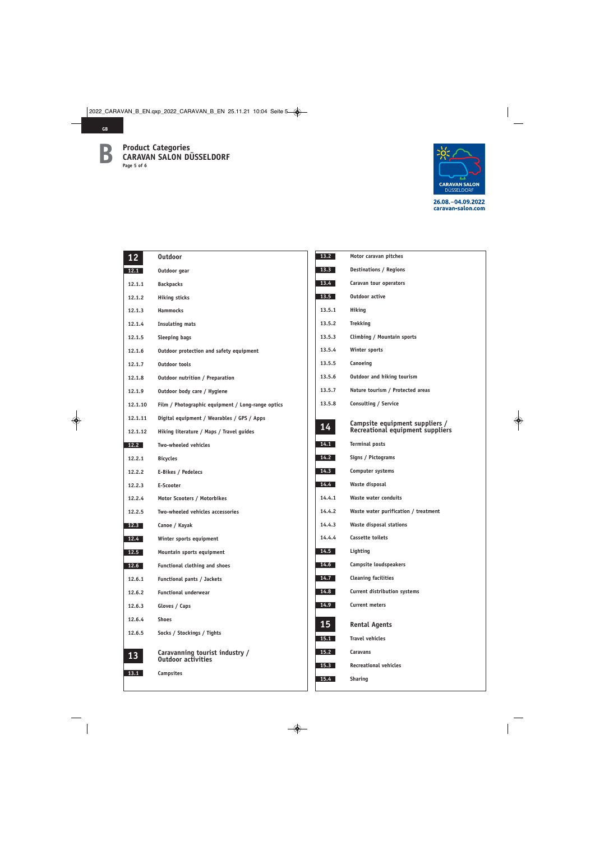

| 12      | <b>Outdoor</b>                                    |
|---------|---------------------------------------------------|
| 12.1    | Outdoor gear                                      |
| 12.1.1  | <b>Backpacks</b>                                  |
| 12.1.2  | <b>Hiking sticks</b>                              |
| 12.1.3  | <b>Hammocks</b>                                   |
| 12.1.4  | <b>Insulating mats</b>                            |
| 12.1.5  | <b>Sleeping bags</b>                              |
| 12.1.6  | Outdoor protection and safety equipment           |
| 12.1.7  | <b>Outdoor tools</b>                              |
| 12.1.8  | Outdoor nutrition / Preparation                   |
| 12.1.9  | Outdoor body care / Hygiene                       |
| 12.1.10 | Film / Photographic equipment / Long-range optics |
| 12.1.11 | Digital equipment / Wearables / GPS / Apps        |
| 12.1.12 | Hiking literature / Maps / Travel guides          |
| 12.2    | <b>Two-wheeled vehicles</b>                       |
| 12.2.1  | <b>Bicycles</b>                                   |
| 12.2.2  | E-Bikes / Pedelecs                                |
| 12.2.3  | E-Scooter                                         |
| 12.2.4  | Motor Scooters / Motorbikes                       |
| 12.2.5  | Two-wheeled vehicles accessories                  |
| 12.3    | Canoe / Kayak                                     |
| 12.4    | Winter sports equipment                           |
| 12.5    | Mountain sports equipment                         |
| 12.6    | <b>Functional clothing and shoes</b>              |
| 12.6.1  | Functional pants / Jackets                        |
| 12.6.2  | <b>Functional underwear</b>                       |
| 12.6.3  | Gloves / Caps                                     |
| 12.6.4  | <b>Shoes</b>                                      |
| 12.6.5  | Socks / Stockings / Tights                        |
|         | Caravanning tourist industry /                    |
| 13      | <b>Outdoor activities</b>                         |
| 13.1    | Campsites                                         |
|         |                                                   |

| 13.2   | Motor caravan pitches                                              |  |
|--------|--------------------------------------------------------------------|--|
| 13.3   | <b>Destinations / Regions</b>                                      |  |
| 13.4   | Caravan tour operators                                             |  |
| 13.5   | <b>Outdoor active</b>                                              |  |
| 13.5.1 | Hiking                                                             |  |
| 13.5.2 | <b>Trekking</b>                                                    |  |
| 13.5.3 | Climbing / Mountain sports                                         |  |
| 13.5.4 | Winter sports                                                      |  |
| 13.5.5 | Canoeing                                                           |  |
| 13.5.6 | Outdoor and hiking tourism                                         |  |
| 13.5.7 | Nature tourism / Protected areas                                   |  |
| 13.5.8 | Consulting / Service                                               |  |
| 14     | Campsite equipment suppliers /<br>Recreational equipment suppliers |  |
| 14.1   | <b>Terminal posts</b>                                              |  |
| 14.2   | Signs / Pictograms                                                 |  |
| 14.3   | Computer systems                                                   |  |
| 14.4   | Waste disposal                                                     |  |
| 14.4.1 | <b>Waste water conduits</b>                                        |  |
| 14.4.2 | Waste water purification / treatment                               |  |
| 14.4.3 | Waste disposal stations                                            |  |
| 14.4.4 | <b>Cassette toilets</b>                                            |  |
| 14.5   | Lighting                                                           |  |
| 14.6   | Campsite loudspeakers                                              |  |
| 14.7   | <b>Cleaning facilities</b>                                         |  |
| 14.8   | Current distribution systems                                       |  |
| 14.9   | <b>Current meters</b>                                              |  |
| 15     | <b>Rental Agents</b>                                               |  |
| 15.1   | <b>Travel vehicles</b>                                             |  |
| 15.2   | Caravans                                                           |  |
| 15.3   | <b>Recreational vehicles</b>                                       |  |
| 15.4   | <b>Sharing</b>                                                     |  |
|        |                                                                    |  |